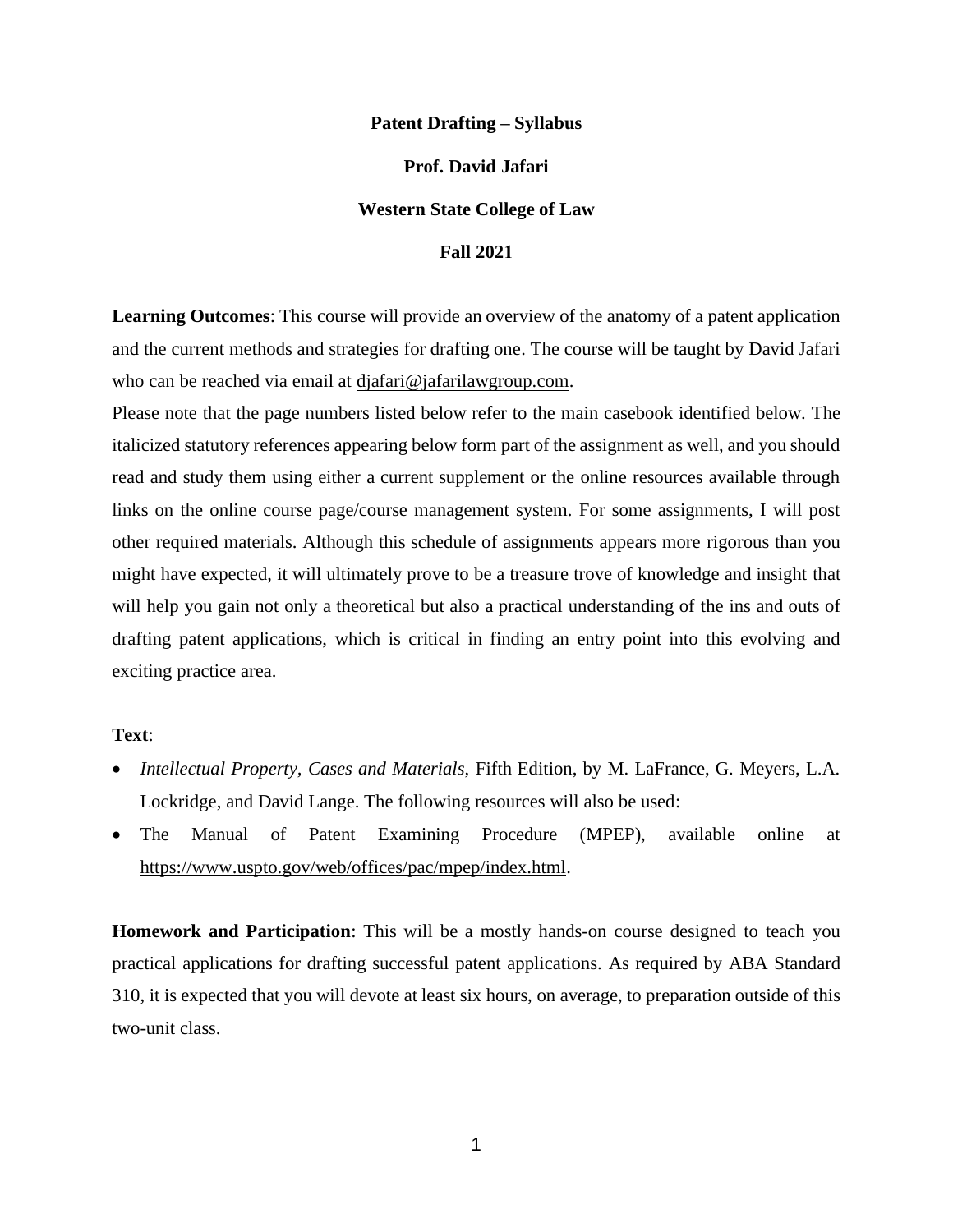#### **Patent Drafting – Syllabus**

## **Prof. David Jafari**

### **Western State College of Law**

#### **Fall 2021**

**Learning Outcomes**: This course will provide an overview of the anatomy of a patent application and the current methods and strategies for drafting one. The course will be taught by David Jafari who can be reached via email at djafari@jafarilawgroup.com.

Please note that the page numbers listed below refer to the main casebook identified below. The italicized statutory references appearing below form part of the assignment as well, and you should read and study them using either a current supplement or the online resources available through links on the online course page/course management system. For some assignments, I will post other required materials. Although this schedule of assignments appears more rigorous than you might have expected, it will ultimately prove to be a treasure trove of knowledge and insight that will help you gain not only a theoretical but also a practical understanding of the ins and outs of drafting patent applications, which is critical in finding an entry point into this evolving and exciting practice area.

### **Text**:

- *Intellectual Property, Cases and Materials*, Fifth Edition, by M. LaFrance, G. Meyers, L.A. Lockridge, and David Lange. The following resources will also be used:
- The Manual of Patent Examining Procedure (MPEP), available online at https://www.uspto.gov/web/offices/pac/mpep/index.html.

**Homework and Participation**: This will be a mostly hands-on course designed to teach you practical applications for drafting successful patent applications. As required by ABA Standard 310, it is expected that you will devote at least six hours, on average, to preparation outside of this two-unit class.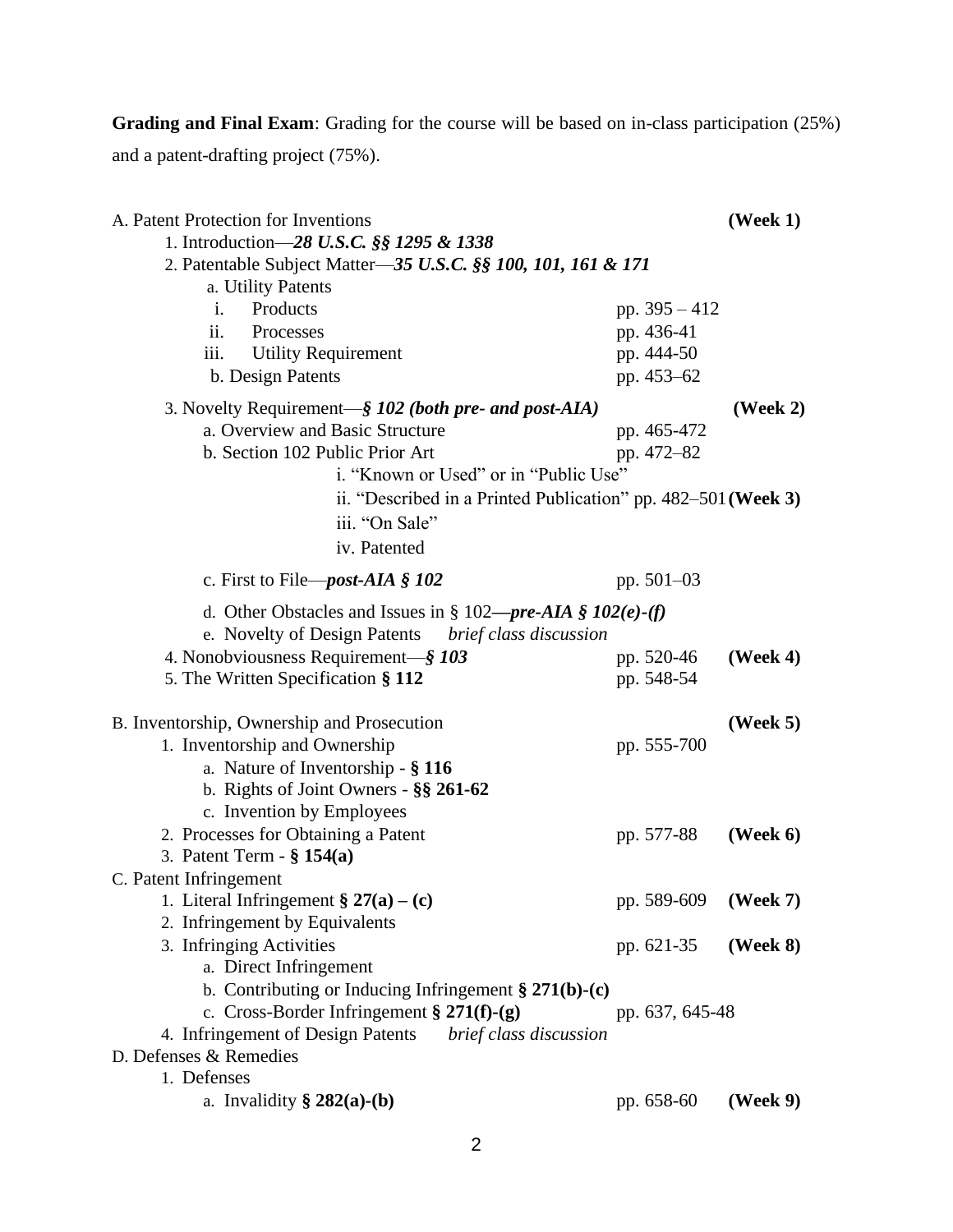**Grading and Final Exam**: Grading for the course will be based on in-class participation (25%) and a patent-drafting project (75%).

| A. Patent Protection for Inventions                                    |                 | $( \text{Week } 1 )$ |
|------------------------------------------------------------------------|-----------------|----------------------|
| 1. Introduction-28 U.S.C. §§ 1295 & 1338                               |                 |                      |
| 2. Patentable Subject Matter-35 U.S.C. §§ 100, 101, 161 & 171          |                 |                      |
| a. Utility Patents                                                     |                 |                      |
| Products<br>i.                                                         | pp. $395 - 412$ |                      |
| ii.<br>Processes                                                       | pp. 436-41      |                      |
| iii.<br><b>Utility Requirement</b>                                     | pp. 444-50      |                      |
| b. Design Patents                                                      | pp. 453-62      |                      |
| 3. Novelty Requirement—§ 102 (both pre- and post-AIA)                  |                 | (Week $2$ )          |
| a. Overview and Basic Structure                                        | pp. 465-472     |                      |
| b. Section 102 Public Prior Art                                        | pp. 472-82      |                      |
| i. "Known or Used" or in "Public Use"                                  |                 |                      |
| ii. "Described in a Printed Publication" pp. $482-501$ (Week 3)        |                 |                      |
| iii. "On Sale"                                                         |                 |                      |
| iv. Patented                                                           |                 |                      |
|                                                                        |                 |                      |
| c. First to File— <i>post-AIA</i> § $102$                              | pp. $501-03$    |                      |
| d. Other Obstacles and Issues in § 102— <i>pre-AIA</i> § $102(e)$ -(f) |                 |                      |
| e. Novelty of Design Patents<br>brief class discussion                 |                 |                      |
| 4. Nonobviousness Requirement-§ 103                                    | pp. 520-46      | $( \text{Week } 4 )$ |
| 5. The Written Specification § 112                                     | pp. 548-54      |                      |
|                                                                        |                 |                      |
| B. Inventorship, Ownership and Prosecution                             |                 | $( \text{Week } 5 )$ |
| 1. Inventorship and Ownership<br>a. Nature of Inventorship - § 116     | pp. 555-700     |                      |
| b. Rights of Joint Owners - $\S$ § 261-62                              |                 |                      |
| c. Invention by Employees                                              |                 |                      |
| 2. Processes for Obtaining a Patent                                    | pp. 577-88      | (Week $6$ )          |
| 3. Patent Term $-$ § 154(a)                                            |                 |                      |
| C. Patent Infringement                                                 |                 |                      |
| 1. Literal Infringement § $27(a) - (c)$                                | pp. 589-609     | $( \text{Week } 7 )$ |
| 2. Infringement by Equivalents                                         |                 |                      |
| 3. Infringing Activities                                               | pp. 621-35      | $( \text{Week } 8)$  |
| a. Direct Infringement                                                 |                 |                      |
| b. Contributing or Inducing Infringement § $271(b)-(c)$                |                 |                      |
| c. Cross-Border Infringement § $271(f)-(g)$                            | pp. 637, 645-48 |                      |
| 4. Infringement of Design Patents<br>brief class discussion            |                 |                      |
| D. Defenses & Remedies                                                 |                 |                      |
| 1. Defenses                                                            |                 |                      |
| a. Invalidity $\S 282(a)-(b)$                                          | pp. 658-60      | (Week 9)             |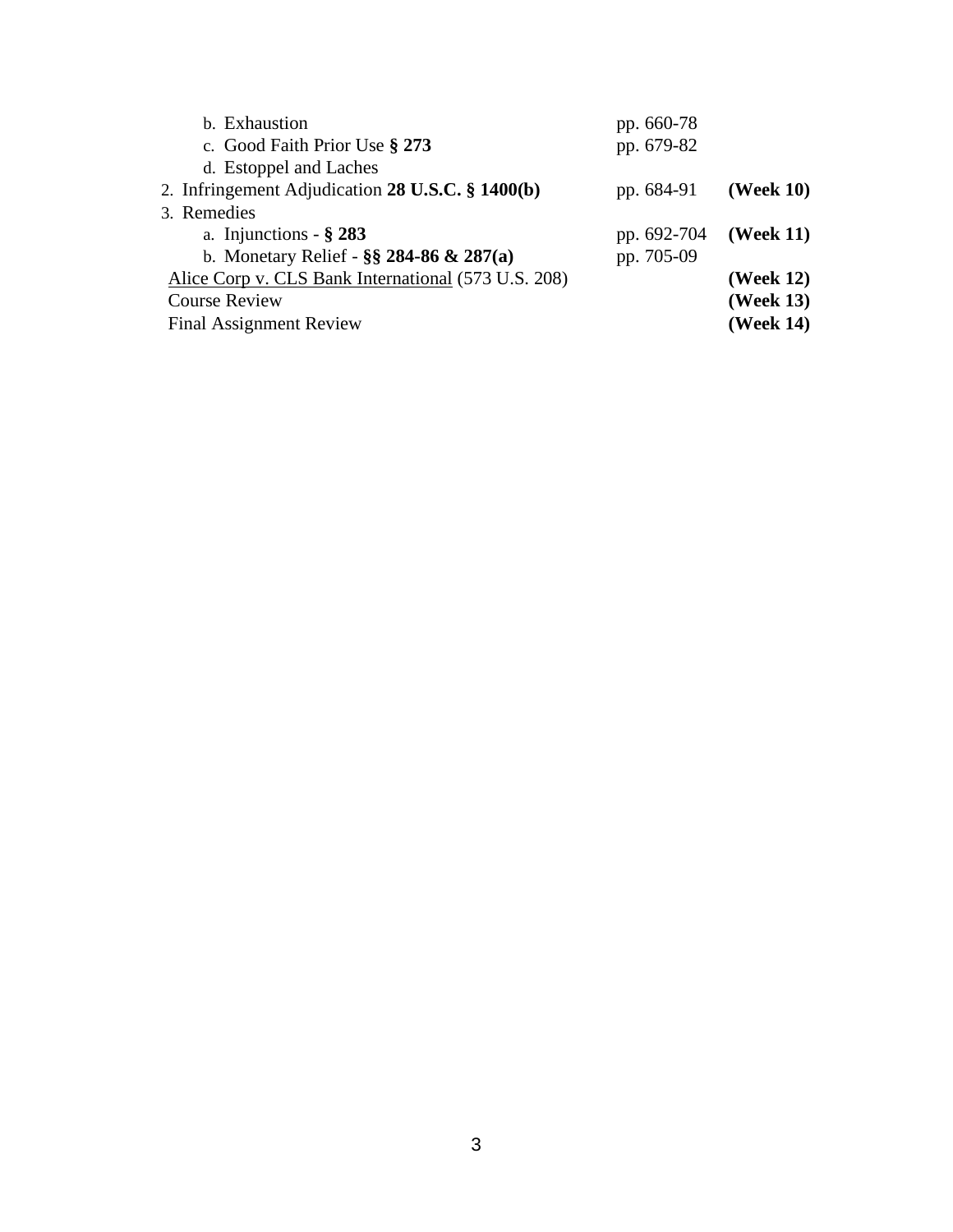| b. Exhaustion                                       | pp. 660-78  |                       |
|-----------------------------------------------------|-------------|-----------------------|
| c. Good Faith Prior Use § 273                       | pp. 679-82  |                       |
| d. Estoppel and Laches                              |             |                       |
| 2. Infringement Adjudication 28 U.S.C. § 1400(b)    | pp. 684-91  | (Week $10$ )          |
| 3. Remedies                                         |             |                       |
| a. Injunctions - $\S 283$                           | pp. 692-704 | $( \text{Week } 11 )$ |
| b. Monetary Relief - $\S$ § 284-86 & 287(a)         | pp. 705-09  |                       |
| Alice Corp v. CLS Bank International (573 U.S. 208) |             | (Week 12)             |
| <b>Course Review</b>                                |             | (Week 13)             |
| <b>Final Assignment Review</b>                      |             | (Week 14)             |
|                                                     |             |                       |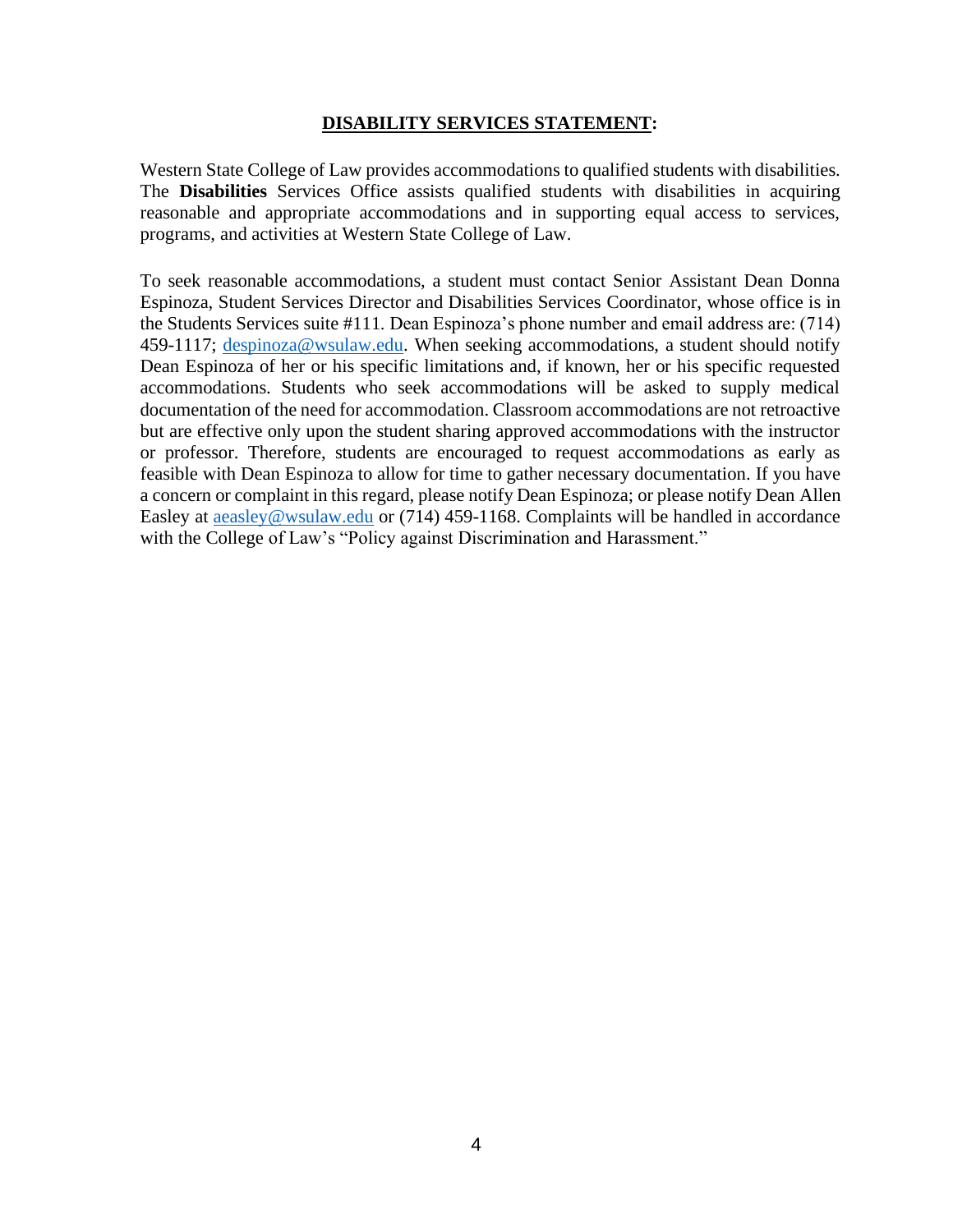## **DISABILITY SERVICES STATEMENT:**

Western State College of Law provides accommodations to qualified students with disabilities. The **Disabilities** Services Office assists qualified students with disabilities in acquiring reasonable and appropriate accommodations and in supporting equal access to services, programs, and activities at Western State College of Law.

To seek reasonable accommodations, a student must contact Senior Assistant Dean Donna Espinoza, Student Services Director and Disabilities Services Coordinator, whose office is in the Students Services suite #111. Dean Espinoza's phone number and email address are: (714) 459-1117; [despinoza@wsulaw.edu.](mailto:despinoza@wsulaw.edu) When seeking accommodations, a student should notify Dean Espinoza of her or his specific limitations and, if known, her or his specific requested accommodations. Students who seek accommodations will be asked to supply medical documentation of the need for accommodation. Classroom accommodations are not retroactive but are effective only upon the student sharing approved accommodations with the instructor or professor. Therefore, students are encouraged to request accommodations as early as feasible with Dean Espinoza to allow for time to gather necessary documentation. If you have a concern or complaint in this regard, please notify Dean Espinoza; or please notify Dean Allen Easley at **aeasley@wsulaw.edu** or (714) 459-1168. Complaints will be handled in accordance with the College of Law's "Policy against Discrimination and Harassment."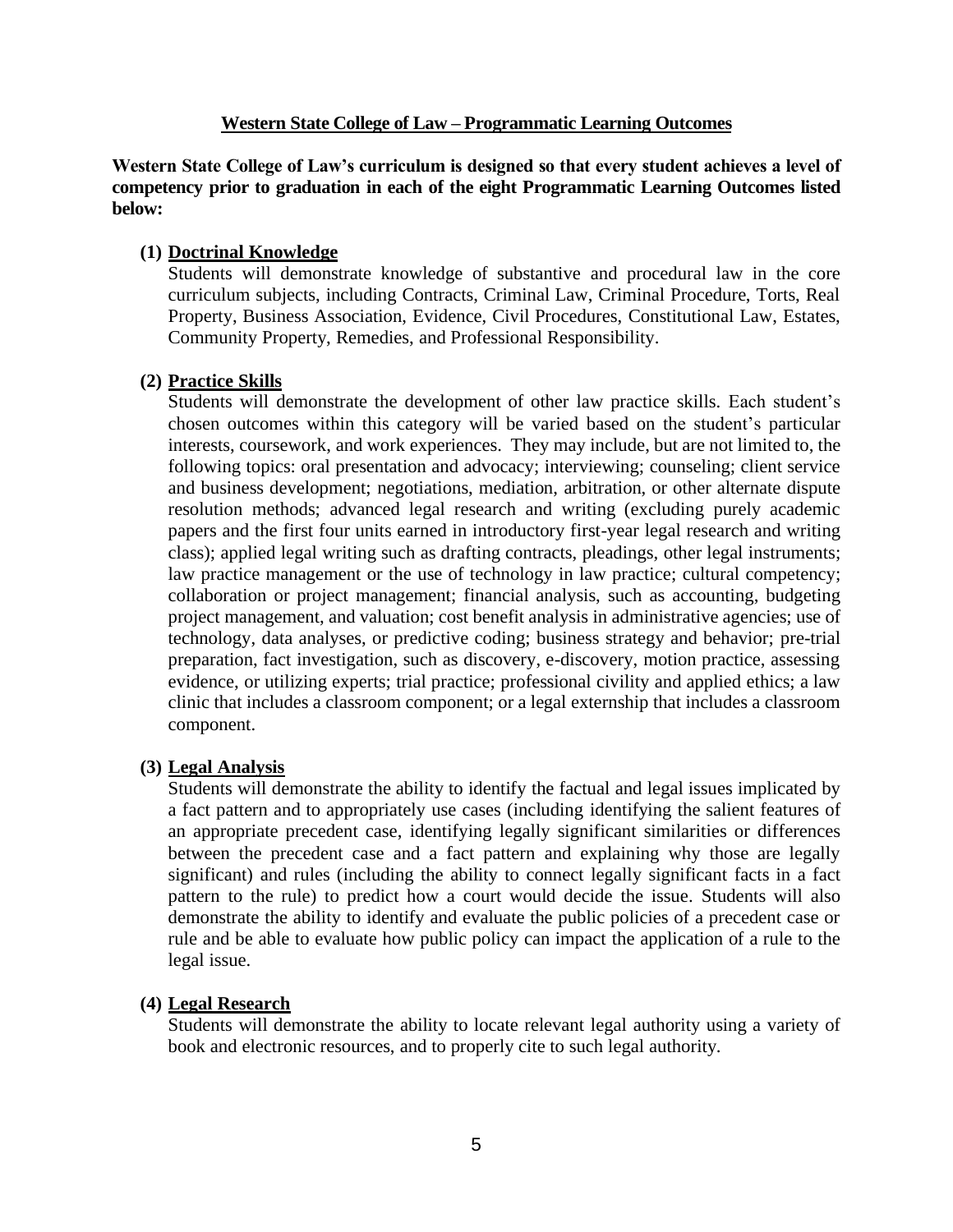## **Western State College of Law – Programmatic Learning Outcomes**

**Western State College of Law's curriculum is designed so that every student achieves a level of competency prior to graduation in each of the eight Programmatic Learning Outcomes listed below:**

## **(1) Doctrinal Knowledge**

Students will demonstrate knowledge of substantive and procedural law in the core curriculum subjects, including Contracts, Criminal Law, Criminal Procedure, Torts, Real Property, Business Association, Evidence, Civil Procedures, Constitutional Law, Estates, Community Property, Remedies, and Professional Responsibility.

# **(2) Practice Skills**

Students will demonstrate the development of other law practice skills. Each student's chosen outcomes within this category will be varied based on the student's particular interests, coursework, and work experiences. They may include, but are not limited to, the following topics: oral presentation and advocacy; interviewing; counseling; client service and business development; negotiations, mediation, arbitration, or other alternate dispute resolution methods; advanced legal research and writing (excluding purely academic papers and the first four units earned in introductory first-year legal research and writing class); applied legal writing such as drafting contracts, pleadings, other legal instruments; law practice management or the use of technology in law practice; cultural competency; collaboration or project management; financial analysis, such as accounting, budgeting project management, and valuation; cost benefit analysis in administrative agencies; use of technology, data analyses, or predictive coding; business strategy and behavior; pre-trial preparation, fact investigation, such as discovery, e-discovery, motion practice, assessing evidence, or utilizing experts; trial practice; professional civility and applied ethics; a law clinic that includes a classroom component; or a legal externship that includes a classroom component.

## **(3) Legal Analysis**

Students will demonstrate the ability to identify the factual and legal issues implicated by a fact pattern and to appropriately use cases (including identifying the salient features of an appropriate precedent case, identifying legally significant similarities or differences between the precedent case and a fact pattern and explaining why those are legally significant) and rules (including the ability to connect legally significant facts in a fact pattern to the rule) to predict how a court would decide the issue. Students will also demonstrate the ability to identify and evaluate the public policies of a precedent case or rule and be able to evaluate how public policy can impact the application of a rule to the legal issue.

## **(4) Legal Research**

Students will demonstrate the ability to locate relevant legal authority using a variety of book and electronic resources, and to properly cite to such legal authority.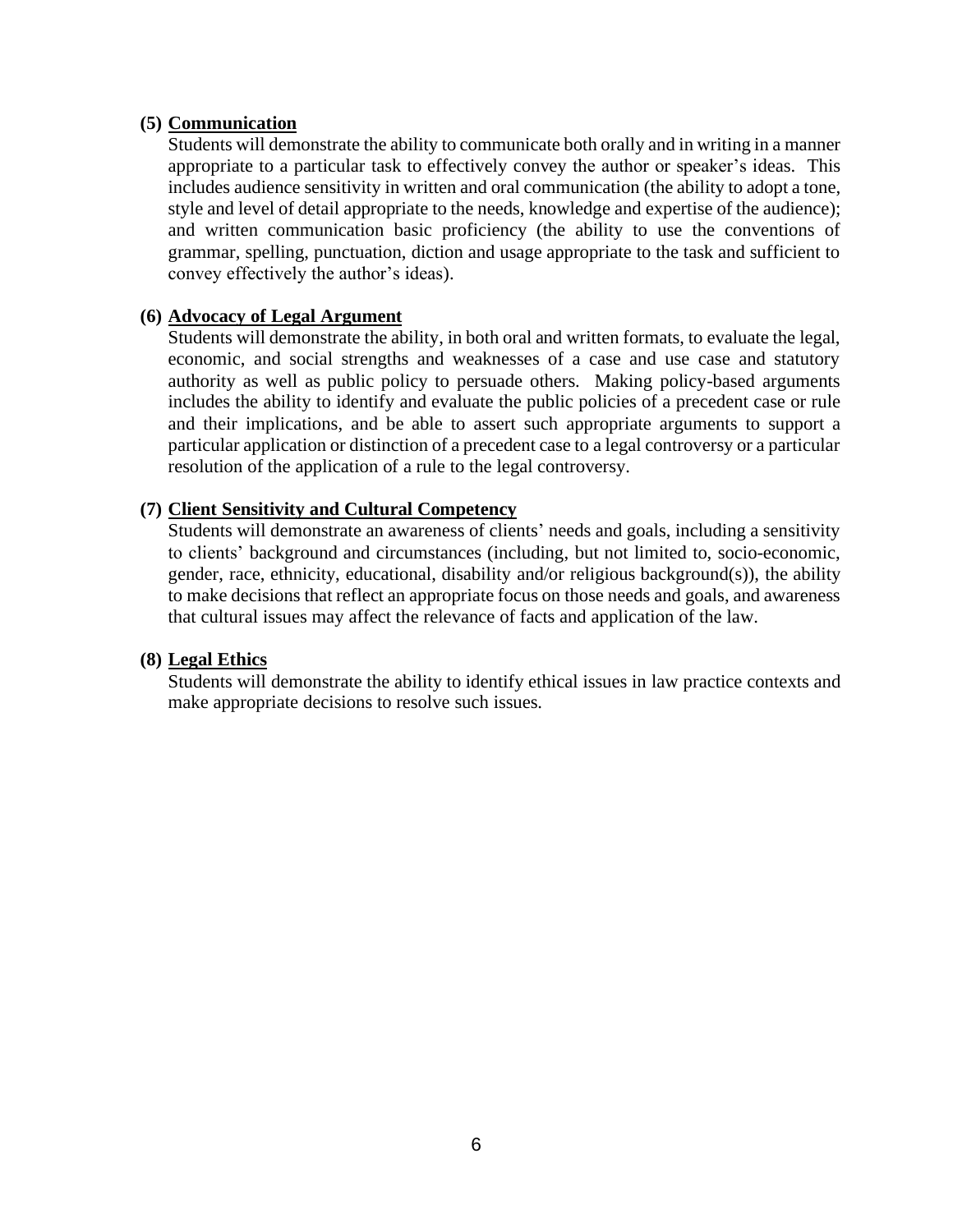## **(5) Communication**

Students will demonstrate the ability to communicate both orally and in writing in a manner appropriate to a particular task to effectively convey the author or speaker's ideas. This includes audience sensitivity in written and oral communication (the ability to adopt a tone, style and level of detail appropriate to the needs, knowledge and expertise of the audience); and written communication basic proficiency (the ability to use the conventions of grammar, spelling, punctuation, diction and usage appropriate to the task and sufficient to convey effectively the author's ideas).

## **(6) Advocacy of Legal Argument**

Students will demonstrate the ability, in both oral and written formats, to evaluate the legal, economic, and social strengths and weaknesses of a case and use case and statutory authority as well as public policy to persuade others. Making policy-based arguments includes the ability to identify and evaluate the public policies of a precedent case or rule and their implications, and be able to assert such appropriate arguments to support a particular application or distinction of a precedent case to a legal controversy or a particular resolution of the application of a rule to the legal controversy.

## **(7) Client Sensitivity and Cultural Competency**

Students will demonstrate an awareness of clients' needs and goals, including a sensitivity to clients' background and circumstances (including, but not limited to, socio-economic, gender, race, ethnicity, educational, disability and/or religious background(s)), the ability to make decisions that reflect an appropriate focus on those needs and goals, and awareness that cultural issues may affect the relevance of facts and application of the law.

#### **(8) Legal Ethics**

Students will demonstrate the ability to identify ethical issues in law practice contexts and make appropriate decisions to resolve such issues.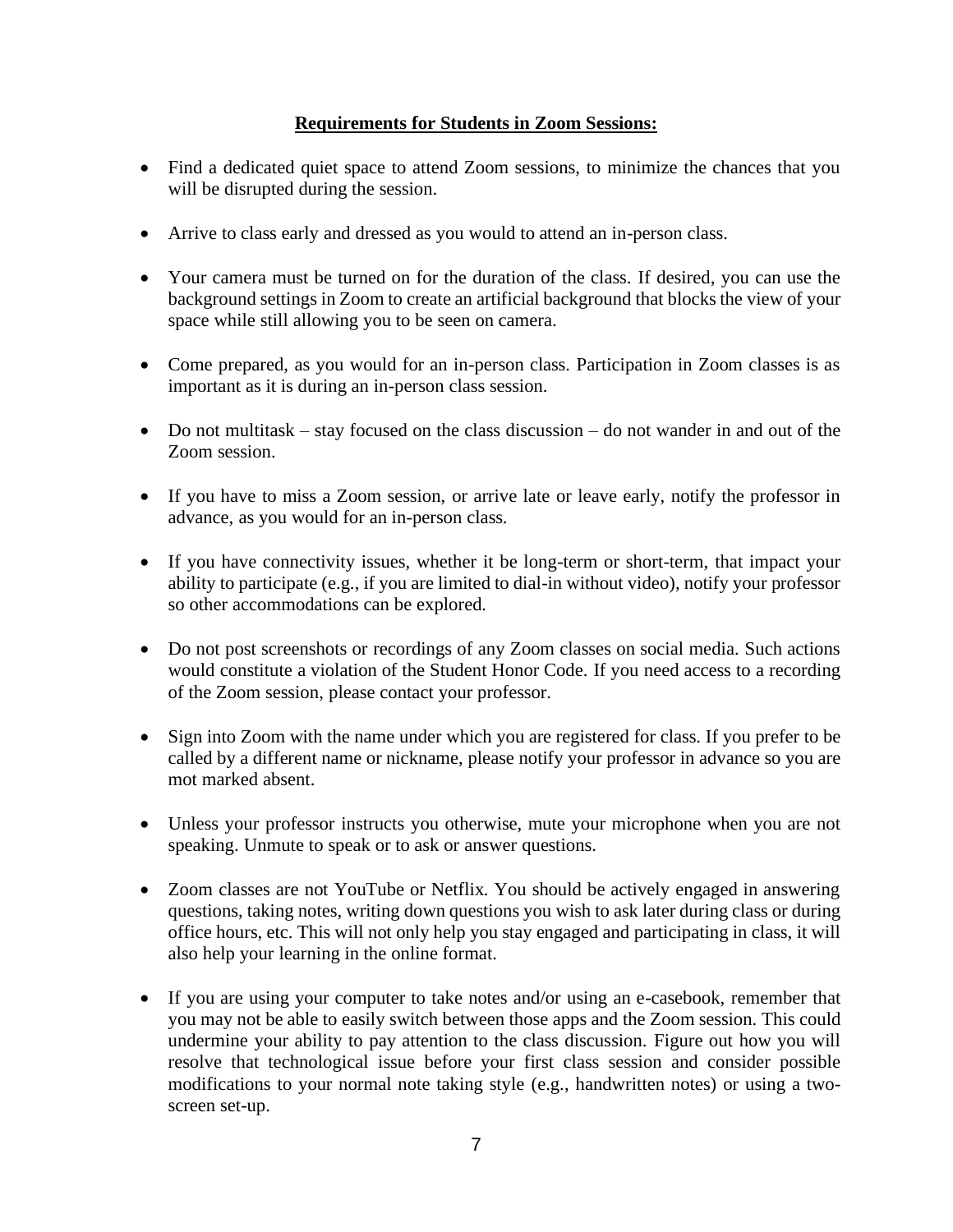# **Requirements for Students in Zoom Sessions:**

- Find a dedicated quiet space to attend Zoom sessions, to minimize the chances that you will be disrupted during the session.
- Arrive to class early and dressed as you would to attend an in-person class.
- Your camera must be turned on for the duration of the class. If desired, you can use the background settings in Zoom to create an artificial background that blocks the view of your space while still allowing you to be seen on camera.
- Come prepared, as you would for an in-person class. Participation in Zoom classes is as important as it is during an in-person class session.
- Do not multitask stay focused on the class discussion do not wander in and out of the Zoom session.
- If you have to miss a Zoom session, or arrive late or leave early, notify the professor in advance, as you would for an in-person class.
- If you have connectivity issues, whether it be long-term or short-term, that impact your ability to participate (e.g., if you are limited to dial-in without video), notify your professor so other accommodations can be explored.
- Do not post screenshots or recordings of any Zoom classes on social media. Such actions would constitute a violation of the Student Honor Code. If you need access to a recording of the Zoom session, please contact your professor.
- Sign into Zoom with the name under which you are registered for class. If you prefer to be called by a different name or nickname, please notify your professor in advance so you are mot marked absent.
- Unless your professor instructs you otherwise, mute your microphone when you are not speaking. Unmute to speak or to ask or answer questions.
- Zoom classes are not YouTube or Netflix. You should be actively engaged in answering questions, taking notes, writing down questions you wish to ask later during class or during office hours, etc. This will not only help you stay engaged and participating in class, it will also help your learning in the online format.
- If you are using your computer to take notes and/or using an e-casebook, remember that you may not be able to easily switch between those apps and the Zoom session. This could undermine your ability to pay attention to the class discussion. Figure out how you will resolve that technological issue before your first class session and consider possible modifications to your normal note taking style (e.g., handwritten notes) or using a twoscreen set-up.